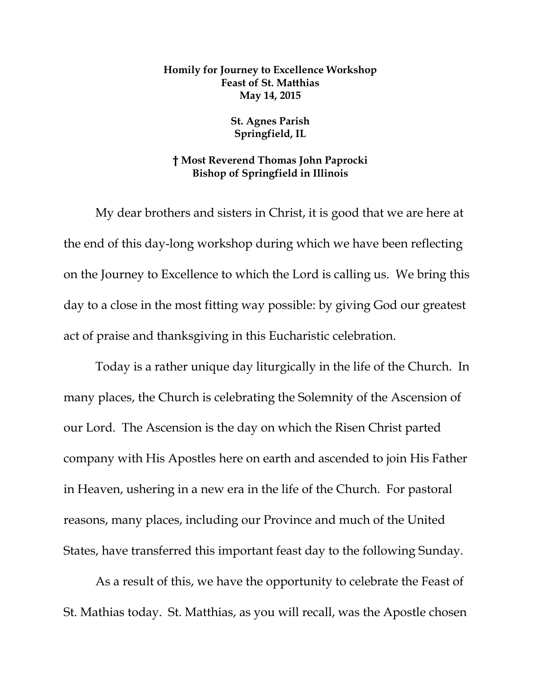## **Homily for Journey to Excellence Workshop Feast of St. Matthias May 14, 2015**

## **St. Agnes Parish Springfield, IL**

## **† Most Reverend Thomas John Paprocki Bishop of Springfield in Illinois**

My dear brothers and sisters in Christ, it is good that we are here at the end of this day-long workshop during which we have been reflecting on the Journey to Excellence to which the Lord is calling us. We bring this day to a close in the most fitting way possible: by giving God our greatest act of praise and thanksgiving in this Eucharistic celebration.

Today is a rather unique day liturgically in the life of the Church. In many places, the Church is celebrating the Solemnity of the Ascension of our Lord. The Ascension is the day on which the Risen Christ parted company with His Apostles here on earth and ascended to join His Father in Heaven, ushering in a new era in the life of the Church. For pastoral reasons, many places, including our Province and much of the United States, have transferred this important feast day to the following Sunday.

As a result of this, we have the opportunity to celebrate the Feast of St. Mathias today. St. Matthias, as you will recall, was the Apostle chosen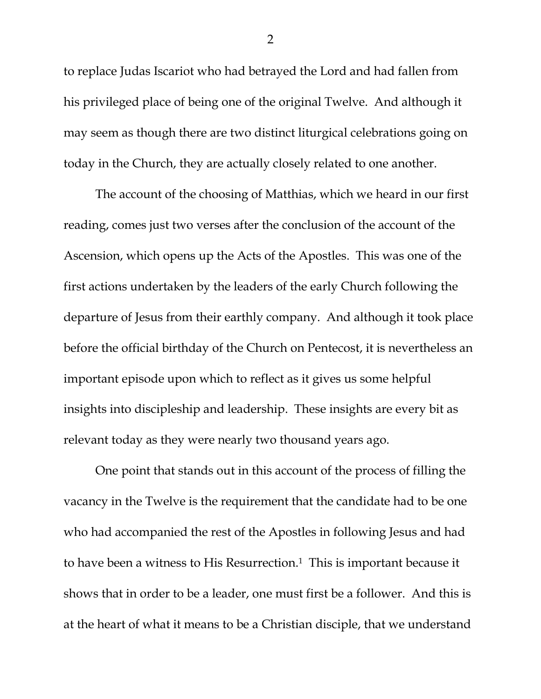to replace Judas Iscariot who had betrayed the Lord and had fallen from his privileged place of being one of the original Twelve. And although it may seem as though there are two distinct liturgical celebrations going on today in the Church, they are actually closely related to one another.

The account of the choosing of Matthias, which we heard in our first reading, comes just two verses after the conclusion of the account of the Ascension, which opens up the Acts of the Apostles. This was one of the first actions undertaken by the leaders of the early Church following the departure of Jesus from their earthly company. And although it took place before the official birthday of the Church on Pentecost, it is nevertheless an important episode upon which to reflect as it gives us some helpful insights into discipleship and leadership. These insights are every bit as relevant today as they were nearly two thousand years ago.

One point that stands out in this account of the process of filling the vacancy in the Twelve is the requirement that the candidate had to be one who had accompanied the rest of the Apostles in following Jesus and had to have been a witness to His Resurrection.<sup>1</sup> This is important because it shows that in order to be a leader, one must first be a follower. And this is at the heart of what it means to be a Christian disciple, that we understand

2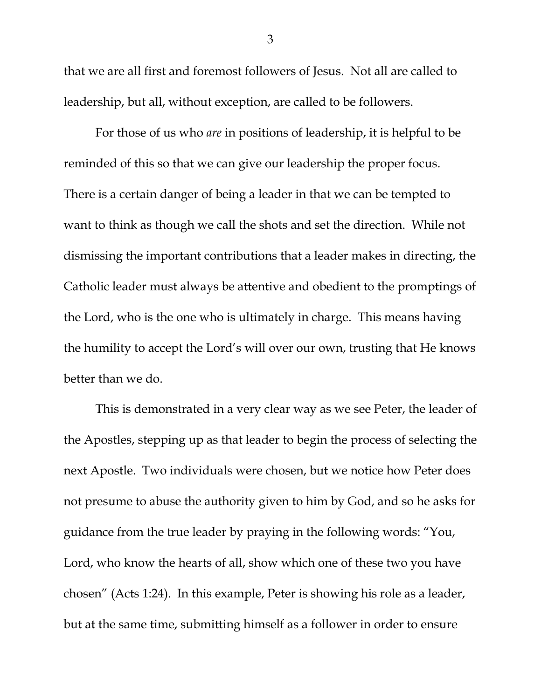that we are all first and foremost followers of Jesus. Not all are called to leadership, but all, without exception, are called to be followers.

For those of us who *are* in positions of leadership, it is helpful to be reminded of this so that we can give our leadership the proper focus. There is a certain danger of being a leader in that we can be tempted to want to think as though we call the shots and set the direction. While not dismissing the important contributions that a leader makes in directing, the Catholic leader must always be attentive and obedient to the promptings of the Lord, who is the one who is ultimately in charge. This means having the humility to accept the Lord's will over our own, trusting that He knows better than we do.

This is demonstrated in a very clear way as we see Peter, the leader of the Apostles, stepping up as that leader to begin the process of selecting the next Apostle. Two individuals were chosen, but we notice how Peter does not presume to abuse the authority given to him by God, and so he asks for guidance from the true leader by praying in the following words: "You, Lord, who know the hearts of all, show which one of these two you have chosen" (Acts 1:24). In this example, Peter is showing his role as a leader, but at the same time, submitting himself as a follower in order to ensure

3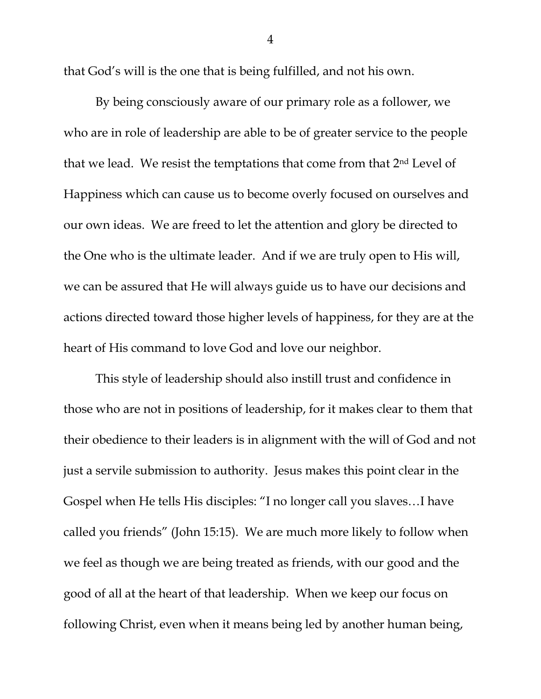that God's will is the one that is being fulfilled, and not his own.

By being consciously aware of our primary role as a follower, we who are in role of leadership are able to be of greater service to the people that we lead. We resist the temptations that come from that 2nd Level of Happiness which can cause us to become overly focused on ourselves and our own ideas. We are freed to let the attention and glory be directed to the One who is the ultimate leader. And if we are truly open to His will, we can be assured that He will always guide us to have our decisions and actions directed toward those higher levels of happiness, for they are at the heart of His command to love God and love our neighbor.

This style of leadership should also instill trust and confidence in those who are not in positions of leadership, for it makes clear to them that their obedience to their leaders is in alignment with the will of God and not just a servile submission to authority. Jesus makes this point clear in the Gospel when He tells His disciples: "I no longer call you slaves…I have called you friends" (John 15:15). We are much more likely to follow when we feel as though we are being treated as friends, with our good and the good of all at the heart of that leadership. When we keep our focus on following Christ, even when it means being led by another human being,

4